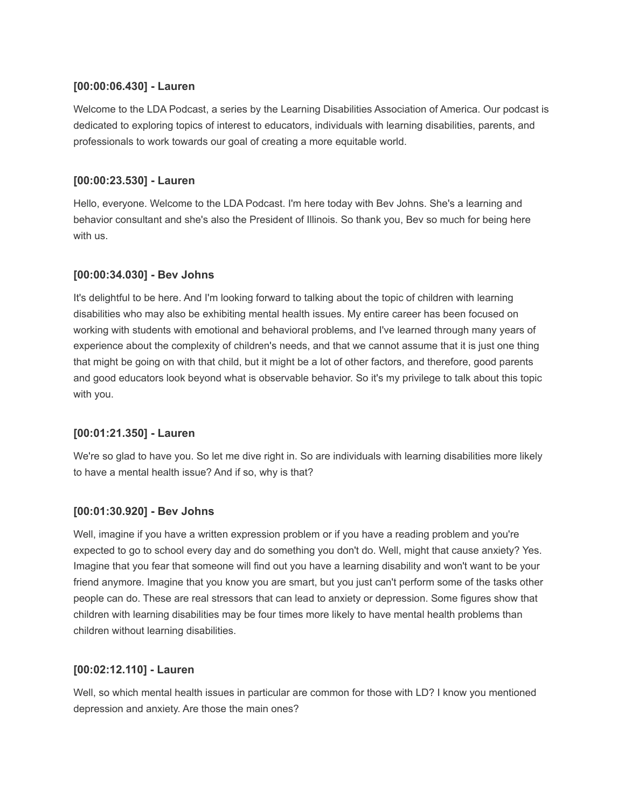### **[00:00:06.430] - Lauren**

Welcome to the LDA Podcast, a series by the Learning Disabilities Association of America. Our podcast is dedicated to exploring topics of interest to educators, individuals with learning disabilities, parents, and professionals to work towards our goal of creating a more equitable world.

# **[00:00:23.530] - Lauren**

Hello, everyone. Welcome to the LDA Podcast. I'm here today with Bev Johns. She's a learning and behavior consultant and she's also the President of Illinois. So thank you, Bev so much for being here with us.

# **[00:00:34.030] - Bev Johns**

It's delightful to be here. And I'm looking forward to talking about the topic of children with learning disabilities who may also be exhibiting mental health issues. My entire career has been focused on working with students with emotional and behavioral problems, and I've learned through many years of experience about the complexity of children's needs, and that we cannot assume that it is just one thing that might be going on with that child, but it might be a lot of other factors, and therefore, good parents and good educators look beyond what is observable behavior. So it's my privilege to talk about this topic with you.

# **[00:01:21.350] - Lauren**

We're so glad to have you. So let me dive right in. So are individuals with learning disabilities more likely to have a mental health issue? And if so, why is that?

### **[00:01:30.920] - Bev Johns**

Well, imagine if you have a written expression problem or if you have a reading problem and you're expected to go to school every day and do something you don't do. Well, might that cause anxiety? Yes. Imagine that you fear that someone will find out you have a learning disability and won't want to be your friend anymore. Imagine that you know you are smart, but you just can't perform some of the tasks other people can do. These are real stressors that can lead to anxiety or depression. Some figures show that children with learning disabilities may be four times more likely to have mental health problems than children without learning disabilities.

### **[00:02:12.110] - Lauren**

Well, so which mental health issues in particular are common for those with LD? I know you mentioned depression and anxiety. Are those the main ones?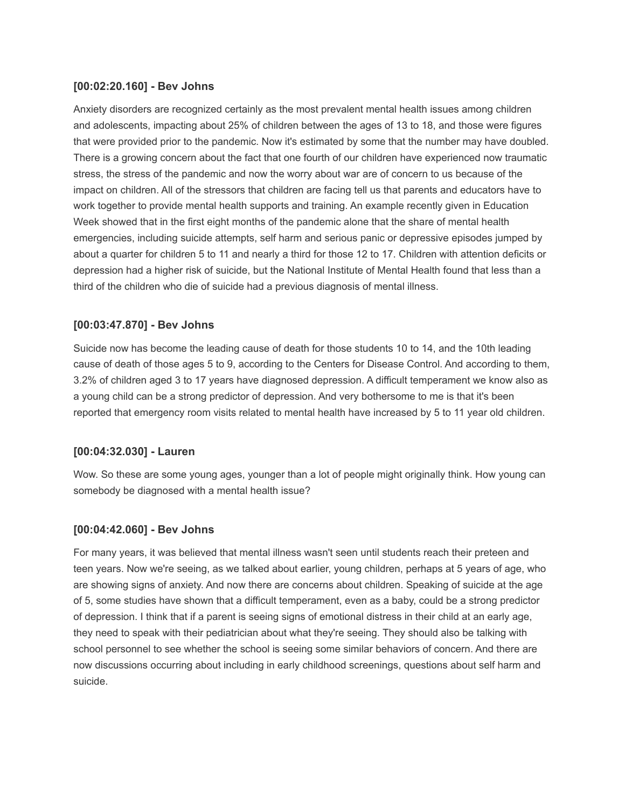### **[00:02:20.160] - Bev Johns**

Anxiety disorders are recognized certainly as the most prevalent mental health issues among children and adolescents, impacting about 25% of children between the ages of 13 to 18, and those were figures that were provided prior to the pandemic. Now it's estimated by some that the number may have doubled. There is a growing concern about the fact that one fourth of our children have experienced now traumatic stress, the stress of the pandemic and now the worry about war are of concern to us because of the impact on children. All of the stressors that children are facing tell us that parents and educators have to work together to provide mental health supports and training. An example recently given in Education Week showed that in the first eight months of the pandemic alone that the share of mental health emergencies, including suicide attempts, self harm and serious panic or depressive episodes jumped by about a quarter for children 5 to 11 and nearly a third for those 12 to 17. Children with attention deficits or depression had a higher risk of suicide, but the National Institute of Mental Health found that less than a third of the children who die of suicide had a previous diagnosis of mental illness.

# **[00:03:47.870] - Bev Johns**

Suicide now has become the leading cause of death for those students 10 to 14, and the 10th leading cause of death of those ages 5 to 9, according to the Centers for Disease Control. And according to them, 3.2% of children aged 3 to 17 years have diagnosed depression. A difficult temperament we know also as a young child can be a strong predictor of depression. And very bothersome to me is that it's been reported that emergency room visits related to mental health have increased by 5 to 11 year old children.

### **[00:04:32.030] - Lauren**

Wow. So these are some young ages, younger than a lot of people might originally think. How young can somebody be diagnosed with a mental health issue?

### **[00:04:42.060] - Bev Johns**

For many years, it was believed that mental illness wasn't seen until students reach their preteen and teen years. Now we're seeing, as we talked about earlier, young children, perhaps at 5 years of age, who are showing signs of anxiety. And now there are concerns about children. Speaking of suicide at the age of 5, some studies have shown that a difficult temperament, even as a baby, could be a strong predictor of depression. I think that if a parent is seeing signs of emotional distress in their child at an early age, they need to speak with their pediatrician about what they're seeing. They should also be talking with school personnel to see whether the school is seeing some similar behaviors of concern. And there are now discussions occurring about including in early childhood screenings, questions about self harm and suicide.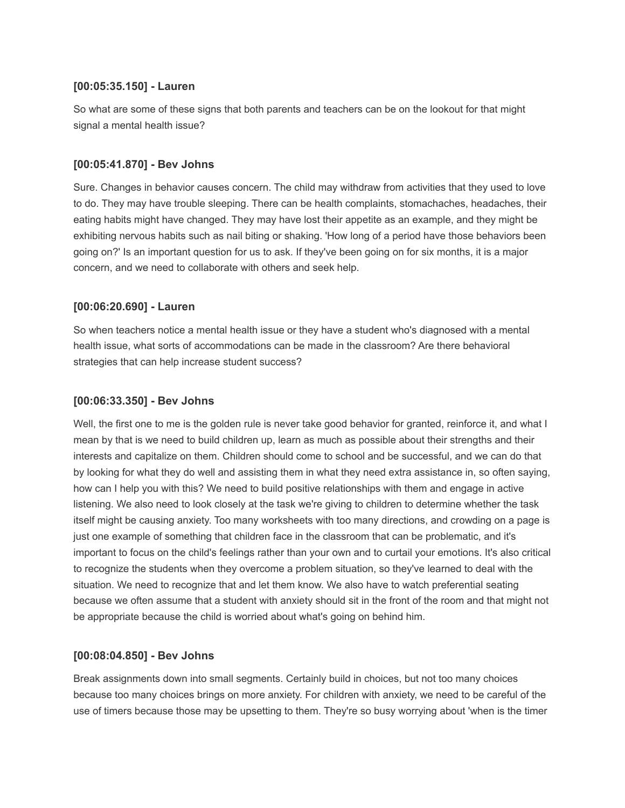### **[00:05:35.150] - Lauren**

So what are some of these signs that both parents and teachers can be on the lookout for that might signal a mental health issue?

#### **[00:05:41.870] - Bev Johns**

Sure. Changes in behavior causes concern. The child may withdraw from activities that they used to love to do. They may have trouble sleeping. There can be health complaints, stomachaches, headaches, their eating habits might have changed. They may have lost their appetite as an example, and they might be exhibiting nervous habits such as nail biting or shaking. 'How long of a period have those behaviors been going on?' Is an important question for us to ask. If they've been going on for six months, it is a major concern, and we need to collaborate with others and seek help.

### **[00:06:20.690] - Lauren**

So when teachers notice a mental health issue or they have a student who's diagnosed with a mental health issue, what sorts of accommodations can be made in the classroom? Are there behavioral strategies that can help increase student success?

#### **[00:06:33.350] - Bev Johns**

Well, the first one to me is the golden rule is never take good behavior for granted, reinforce it, and what I mean by that is we need to build children up, learn as much as possible about their strengths and their interests and capitalize on them. Children should come to school and be successful, and we can do that by looking for what they do well and assisting them in what they need extra assistance in, so often saying, how can I help you with this? We need to build positive relationships with them and engage in active listening. We also need to look closely at the task we're giving to children to determine whether the task itself might be causing anxiety. Too many worksheets with too many directions, and crowding on a page is just one example of something that children face in the classroom that can be problematic, and it's important to focus on the child's feelings rather than your own and to curtail your emotions. It's also critical to recognize the students when they overcome a problem situation, so they've learned to deal with the situation. We need to recognize that and let them know. We also have to watch preferential seating because we often assume that a student with anxiety should sit in the front of the room and that might not be appropriate because the child is worried about what's going on behind him.

#### **[00:08:04.850] - Bev Johns**

Break assignments down into small segments. Certainly build in choices, but not too many choices because too many choices brings on more anxiety. For children with anxiety, we need to be careful of the use of timers because those may be upsetting to them. They're so busy worrying about 'when is the timer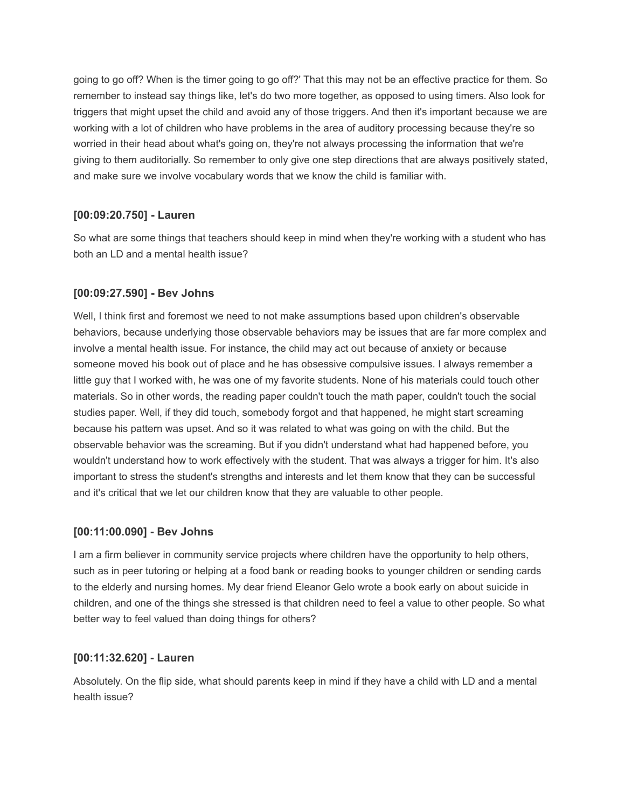going to go off? When is the timer going to go off?' That this may not be an effective practice for them. So remember to instead say things like, let's do two more together, as opposed to using timers. Also look for triggers that might upset the child and avoid any of those triggers. And then it's important because we are working with a lot of children who have problems in the area of auditory processing because they're so worried in their head about what's going on, they're not always processing the information that we're giving to them auditorially. So remember to only give one step directions that are always positively stated, and make sure we involve vocabulary words that we know the child is familiar with.

### **[00:09:20.750] - Lauren**

So what are some things that teachers should keep in mind when they're working with a student who has both an LD and a mental health issue?

#### **[00:09:27.590] - Bev Johns**

Well, I think first and foremost we need to not make assumptions based upon children's observable behaviors, because underlying those observable behaviors may be issues that are far more complex and involve a mental health issue. For instance, the child may act out because of anxiety or because someone moved his book out of place and he has obsessive compulsive issues. I always remember a little guy that I worked with, he was one of my favorite students. None of his materials could touch other materials. So in other words, the reading paper couldn't touch the math paper, couldn't touch the social studies paper. Well, if they did touch, somebody forgot and that happened, he might start screaming because his pattern was upset. And so it was related to what was going on with the child. But the observable behavior was the screaming. But if you didn't understand what had happened before, you wouldn't understand how to work effectively with the student. That was always a trigger for him. It's also important to stress the student's strengths and interests and let them know that they can be successful and it's critical that we let our children know that they are valuable to other people.

#### **[00:11:00.090] - Bev Johns**

I am a firm believer in community service projects where children have the opportunity to help others, such as in peer tutoring or helping at a food bank or reading books to younger children or sending cards to the elderly and nursing homes. My dear friend Eleanor Gelo wrote a book early on about suicide in children, and one of the things she stressed is that children need to feel a value to other people. So what better way to feel valued than doing things for others?

#### **[00:11:32.620] - Lauren**

Absolutely. On the flip side, what should parents keep in mind if they have a child with LD and a mental health issue?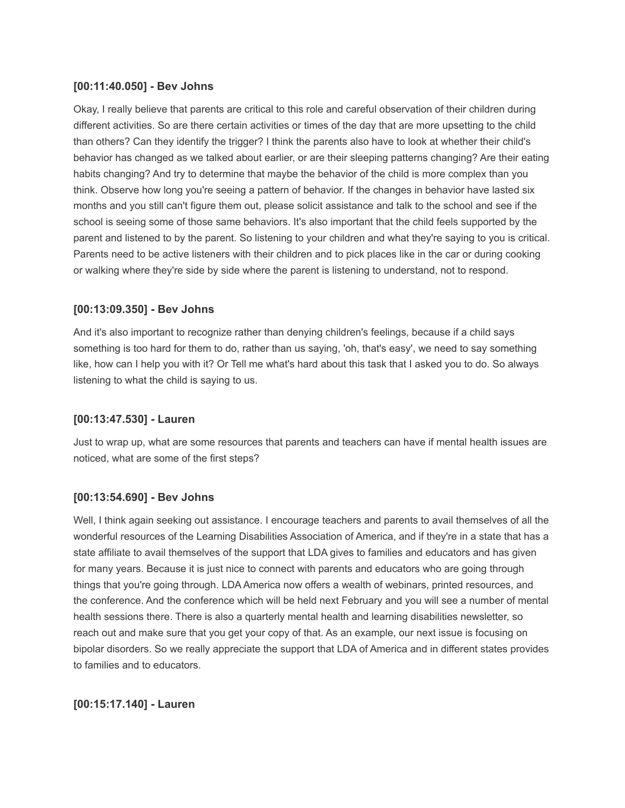### **[00:11:40.050] - Bev Johns**

Okay, I really believe that parents are critical to this role and careful observation of their children during different activities. So are there certain activities or times of the day that are more upsetting to the child than others? Can they identify the trigger? I think the parents also have to look at whether their child's behavior has changed as we talked about earlier, or are their sleeping patterns changing? Are their eating habits changing? And try to determine that maybe the behavior of the child is more complex than you think. Observe how long you're seeing a pattern of behavior. If the changes in behavior have lasted six months and you still can't figure them out, please solicit assistance and talk to the school and see if the school is seeing some of those same behaviors. It's also important that the child feels supported by the parent and listened to by the parent. So listening to your children and what they're saying to you is critical. Parents need to be active listeners with their children and to pick places like in the car or during cooking or walking where they're side by side where the parent is listening to understand, not to respond.

### **[00:13:09.350] - Bev Johns**

And it's also important to recognize rather than denying children's feelings, because if a child says something is too hard for them to do, rather than us saying, 'oh, that's easy', we need to say something like, how can I help you with it? Or Tell me what's hard about this task that I asked you to do. So always listening to what the child is saying to us.

#### **[00:13:47.530] - Lauren**

Just to wrap up, what are some resources that parents and teachers can have if mental health issues are noticed, what are some of the first steps?

### **[00:13:54.690] - Bev Johns**

Well, I think again seeking out assistance. I encourage teachers and parents to avail themselves of all the wonderful resources of the Learning Disabilities Association of America, and if they're in a state that has a state affiliate to avail themselves of the support that LDA gives to families and educators and has given for many years. Because it is just nice to connect with parents and educators who are going through things that you're going through. LDA America now offers a wealth of webinars, printed resources, and the conference. And the conference which will be held next February and you will see a number of mental health sessions there. There is also a quarterly mental health and learning disabilities newsletter, so reach out and make sure that you get your copy of that. As an example, our next issue is focusing on bipolar disorders. So we really appreciate the support that LDA of America and in different states provides to families and to educators.

### **[00:15:17.140] - Lauren**